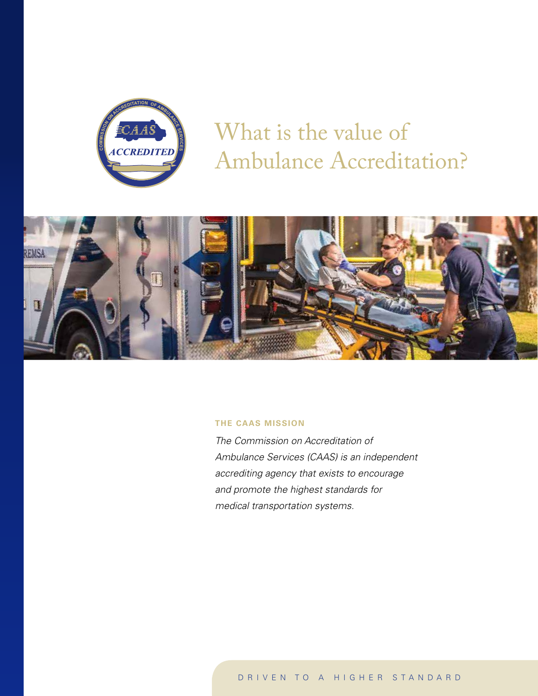

What is the value of Ambulance Accreditation?



#### **THE CAAS MISSION**

*The Commission on Accreditation of Ambulance Services (CAAS) is an independent accrediting agency that exists to encourage and promote the highest standards for medical transportation systems.*

DRIVEN TO A HIGHER STANDARD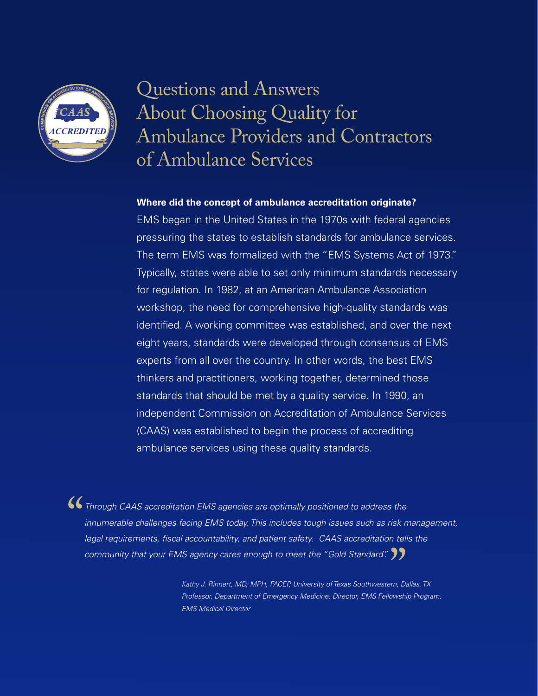

## Questions and Answers About Choosing Quality for Ambulance Providers and Contractors of Ambulance Services

#### **Where did the concept of ambulance accreditation originate?**

EMS began in the United States in the 1970s with federal agencies pressuring the states to establish standards for ambulance services. The term EMS was formalized with the "EMS Systems Act of 1973." Typically, states were able to set only minimum standards necessary for regulation. In 1982, at an American Ambulance Association workshop, the need for comprehensive high-quality standards was identified. A working committee was established, and over the next eight years, standards were developed through consensus of EMS experts from all over the country. In other words, the best EMS thinkers and practitioners, working together, determined those standards that should be met by a quality service. In 1990, an independent Commission on Accreditation of Ambulance Services (CAAS) was established to begin the process of accrediting ambulance services using these quality standards.

**• Through CAAS accreditation EMS agencies are optimally positioned to address the innumerable challenges facing EMS today. This includes tough issues such as risk no legal requirements, fiscal accountability, and patient** *innumerable challenges facing EMS today. This includes tough issues such as risk management, legal requirements, fiscal accountability, and patient safety. CAAS accreditation tells the community that your EMS agency cares enough to meet the "Gold Standard".*"

> *Kathy J. Rinnert, MD, MPH, FACEP, University of Texas Southwestern, Dallas, TX Professor, Department of Emergency Medicine, Director, EMS Fellowship Program, EMS Medical Director*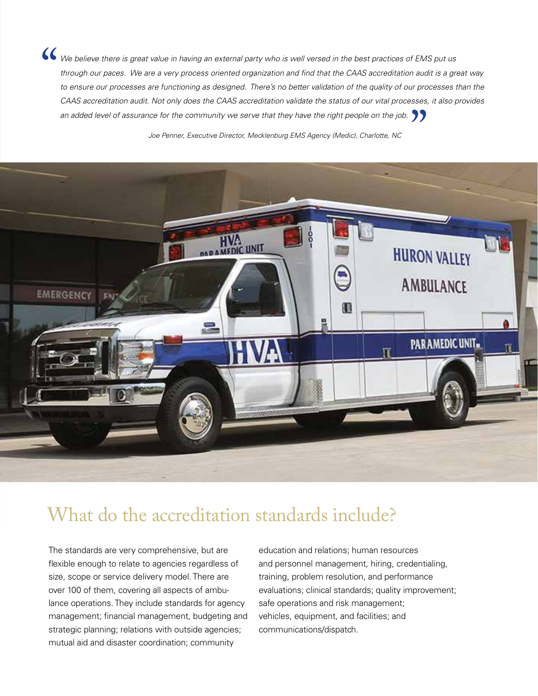*We believe there is great value in having an external party who is well versed in the best practices of EMS put us through our paces. We are a very process oriented organization and find that the CAAS accreditation audit through our paces. We are a very process oriented organization and find that the CAAS accreditation audit is a great way*  to ensure our processes are functioning as designed. There's no better validation of the quality of our processes than the *CAAS accreditation audit. Not only does the CAAS accreditation validate the status of our vital processes, it also provides*  an added level of assurance for the community we serve that they have the right people on the job.

*Joe Penner, Executive Director, Mecklenburg EMS Agency (Medic), Charlotte, NC*



### What do the accreditation standards include?

The standards are very comprehensive, but are flexible enough to relate to agencies regardless of size, scope or service delivery model. There are over 100 of them, covering all aspects of ambulance operations. They include standards for agency management; financial management, budgeting and strategic planning; relations with outside agencies; mutual aid and disaster coordination; community

education and relations; human resources and personnel management, hiring, credentialing, training, problem resolution, and performance evaluations; clinical standards; quality improvement; safe operations and risk management; vehicles, equipment, and facilities; and communications/dispatch.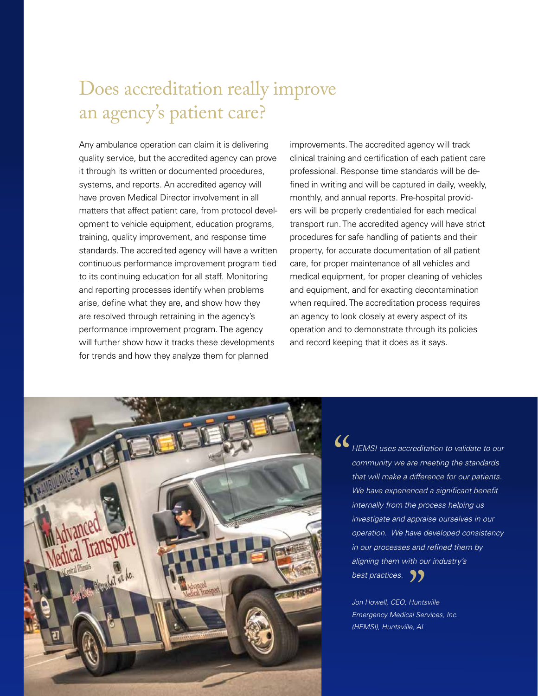### Does accreditation really improve an agency's patient care?

Any ambulance operation can claim it is delivering quality service, but the accredited agency can prove it through its written or documented procedures, systems, and reports. An accredited agency will have proven Medical Director involvement in all matters that affect patient care, from protocol development to vehicle equipment, education programs, training, quality improvement, and response time standards. The accredited agency will have a written continuous performance improvement program tied to its continuing education for all staff. Monitoring and reporting processes identify when problems arise, define what they are, and show how they are resolved through retraining in the agency's performance improvement program. The agency will further show how it tracks these developments for trends and how they analyze them for planned

improvements. The accredited agency will track clinical training and certification of each patient care professional. Response time standards will be defined in writing and will be captured in daily, weekly, monthly, and annual reports. Pre-hospital providers will be properly credentialed for each medical transport run. The accredited agency will have strict procedures for safe handling of patients and their property, for accurate documentation of all patient care, for proper maintenance of all vehicles and medical equipment, for proper cleaning of vehicles and equipment, and for exacting decontamination when required. The accreditation process requires an agency to look closely at every aspect of its operation and to demonstrate through its policies and record keeping that it does as it says.



"*HEMSI uses accreditation to validate to our community we are meeting the standards that will make a difference for our patients. We have experienced a significant benefit internally from the process helping us investigate and appraise ourselves in our operation. We have developed consistency in our processes and refined them by aligning them with our industry's*  **best practices.** 

*Jon Howell, CEO, Huntsville Emergency Medical Services, Inc. (HEMSI), Huntsville, AL*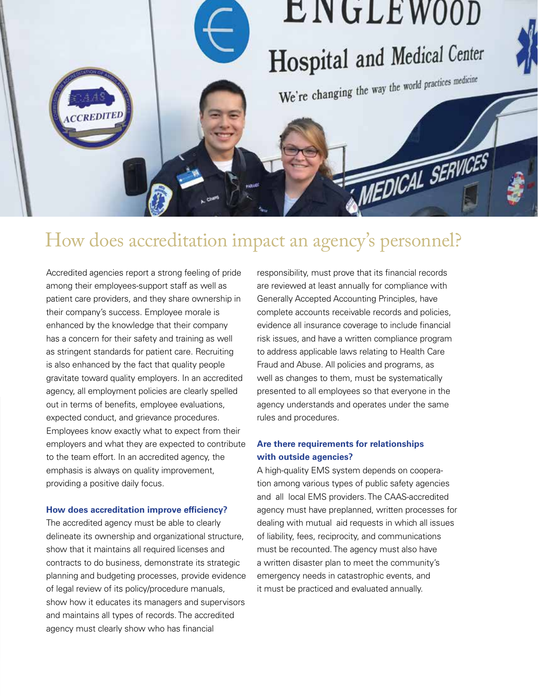

### How does accreditation impact an agency's personnel?

Accredited agencies report a strong feeling of pride among their employees-support staff as well as patient care providers, and they share ownership in their company's success. Employee morale is enhanced by the knowledge that their company has a concern for their safety and training as well as stringent standards for patient care. Recruiting is also enhanced by the fact that quality people gravitate toward quality employers. In an accredited agency, all employment policies are clearly spelled out in terms of benefits, employee evaluations, expected conduct, and grievance procedures. Employees know exactly what to expect from their employers and what they are expected to contribute to the team effort. In an accredited agency, the emphasis is always on quality improvement, providing a positive daily focus.

#### **How does accreditation improve efficiency?**

The accredited agency must be able to clearly delineate its ownership and organizational structure, show that it maintains all required licenses and contracts to do business, demonstrate its strategic planning and budgeting processes, provide evidence of legal review of its policy/procedure manuals, show how it educates its managers and supervisors and maintains all types of records. The accredited agency must clearly show who has financial

responsibility, must prove that its financial records are reviewed at least annually for compliance with Generally Accepted Accounting Principles, have complete accounts receivable records and policies, evidence all insurance coverage to include financial risk issues, and have a written compliance program to address applicable laws relating to Health Care Fraud and Abuse. All policies and programs, as well as changes to them, must be systematically presented to all employees so that everyone in the agency understands and operates under the same rules and procedures.

#### **Are there requirements for relationships with outside agencies?**

A high-quality EMS system depends on cooperation among various types of public safety agencies and all local EMS providers. The CAAS-accredited agency must have preplanned, written processes for dealing with mutual aid requests in which all issues of liability, fees, reciprocity, and communications must be recounted. The agency must also have a written disaster plan to meet the community's emergency needs in catastrophic events, and it must be practiced and evaluated annually.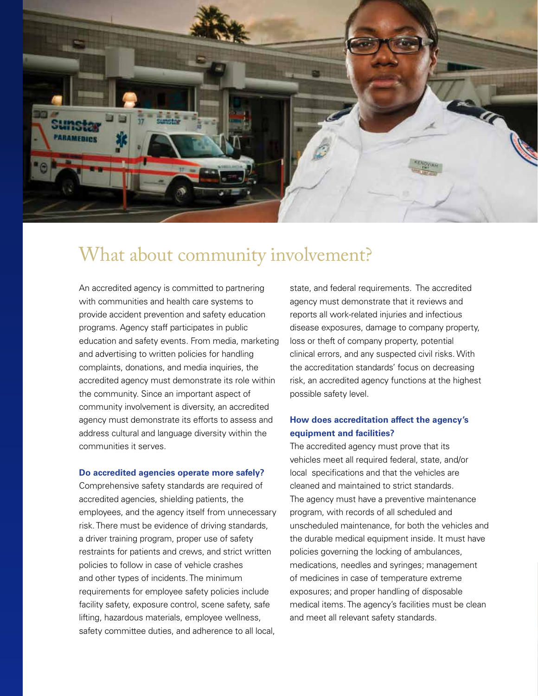

### What about community involvement?

An accredited agency is committed to partnering with communities and health care systems to provide accident prevention and safety education programs. Agency staff participates in public education and safety events. From media, marketing and advertising to written policies for handling complaints, donations, and media inquiries, the accredited agency must demonstrate its role within the community. Since an important aspect of community involvement is diversity, an accredited agency must demonstrate its efforts to assess and address cultural and language diversity within the communities it serves.

#### **Do accredited agencies operate more safely?**

Comprehensive safety standards are required of accredited agencies, shielding patients, the employees, and the agency itself from unnecessary risk. There must be evidence of driving standards, a driver training program, proper use of safety restraints for patients and crews, and strict written policies to follow in case of vehicle crashes and other types of incidents. The minimum requirements for employee safety policies include facility safety, exposure control, scene safety, safe lifting, hazardous materials, employee wellness, safety committee duties, and adherence to all local,

state, and federal requirements. The accredited agency must demonstrate that it reviews and reports all work-related injuries and infectious disease exposures, damage to company property, loss or theft of company property, potential clinical errors, and any suspected civil risks. With the accreditation standards' focus on decreasing risk, an accredited agency functions at the highest possible safety level.

#### **How does accreditation affect the agency's equipment and facilities?**

The accredited agency must prove that its vehicles meet all required federal, state, and/or local specifications and that the vehicles are cleaned and maintained to strict standards. The agency must have a preventive maintenance program, with records of all scheduled and unscheduled maintenance, for both the vehicles and the durable medical equipment inside. It must have policies governing the locking of ambulances, medications, needles and syringes; management of medicines in case of temperature extreme exposures; and proper handling of disposable medical items. The agency's facilities must be clean and meet all relevant safety standards.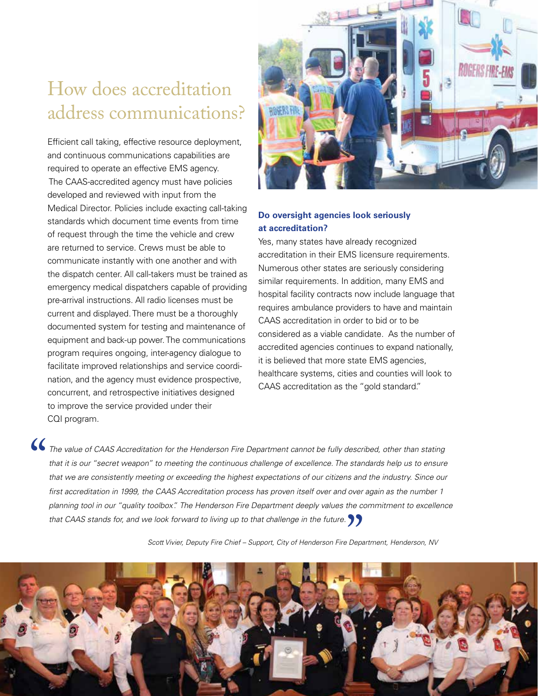# How does accreditation address communications?

Efficient call taking, effective resource deployment, and continuous communications capabilities are required to operate an effective EMS agency. The CAAS-accredited agency must have policies developed and reviewed with input from the Medical Director. Policies include exacting call-taking standards which document time events from time of request through the time the vehicle and crew are returned to service. Crews must be able to communicate instantly with one another and with the dispatch center. All call-takers must be trained as emergency medical dispatchers capable of providing pre-arrival instructions. All radio licenses must be current and displayed. There must be a thoroughly documented system for testing and maintenance of equipment and back-up power. The communications program requires ongoing, inter-agency dialogue to facilitate improved relationships and service coordination, and the agency must evidence prospective, concurrent, and retrospective initiatives designed to improve the service provided under their CQI program.



#### **Do oversight agencies look seriously at accreditation?**

Yes, many states have already recognized accreditation in their EMS Iicensure requirements. Numerous other states are seriously considering similar requirements. In addition, many EMS and hospital facility contracts now include language that requires ambulance providers to have and maintain CAAS accreditation in order to bid or to be considered as a viable candidate. As the number of accredited agencies continues to expand nationally, it is believed that more state EMS agencies, healthcare systems, cities and counties will look to CAAS accreditation as the "gold standard."

**The value of CAAS Accreditation for the Henderson Fire Department cannot be fully described, other than stating that it is our "secret weapon" to meeting the continuous challenge of excellence. The standards help us to en** that it is our "secret weapon" to meeting the continuous challenge of excellence. The standards help us to ensure that we are consistently meeting or exceeding the highest expectations of our citizens and the industry. Since our *first accreditation in 1999, the CAAS Accreditation process has proven itself over and over again as the number 1 planning tool in our "quality toolbox". The Henderson Fire Department deeply values the commitment to excellence that CAAS stands for, and we look forward to living up to that challenge in the future.*"

*Scott Vivier, Deputy Fire Chief – Support, City of Henderson Fire Department, Henderson, NV*

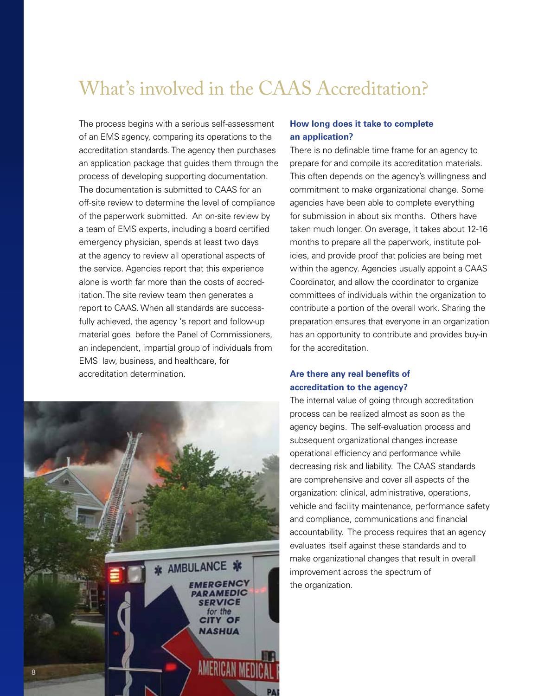### What's involved in the CAAS Accreditation?

The process begins with a serious self-assessment of an EMS agency, comparing its operations to the accreditation standards. The agency then purchases an application package that guides them through the process of developing supporting documentation. The documentation is submitted to CAAS for an off-site review to determine the level of compliance of the paperwork submitted. An on-site review by a team of EMS experts, including a board certified emergency physician, spends at least two days at the agency to review all operational aspects of the service. Agencies report that this experience alone is worth far more than the costs of accreditation. The site review team then generates a report to CAAS. When all standards are successfully achieved, the agency 's report and follow-up material goes before the Panel of Commissioners, an independent, impartial group of individuals from EMS law, business, and healthcare, for accreditation determination.



#### **How long does it take to complete an application?**

There is no definable time frame for an agency to prepare for and compile its accreditation materials. This often depends on the agency's willingness and commitment to make organizational change. Some agencies have been able to complete everything for submission in about six months. Others have taken much longer. On average, it takes about 12-16 months to prepare all the paperwork, institute policies, and provide proof that policies are being met within the agency. Agencies usually appoint a CAAS Coordinator, and allow the coordinator to organize committees of individuals within the organization to contribute a portion of the overall work. Sharing the preparation ensures that everyone in an organization has an opportunity to contribute and provides buy-in for the accreditation.

#### **Are there any real benefits of accreditation to the agency?**

The internal value of going through accreditation process can be realized almost as soon as the agency begins. The self-evaluation process and subsequent organizational changes increase operational efficiency and performance while decreasing risk and liability. The CAAS standards are comprehensive and cover all aspects of the organization: clinical, administrative, operations, vehicle and facility maintenance, performance safety and compliance, communications and financial accountability. The process requires that an agency evaluates itself against these standards and to make organizational changes that result in overall improvement across the spectrum of the organization.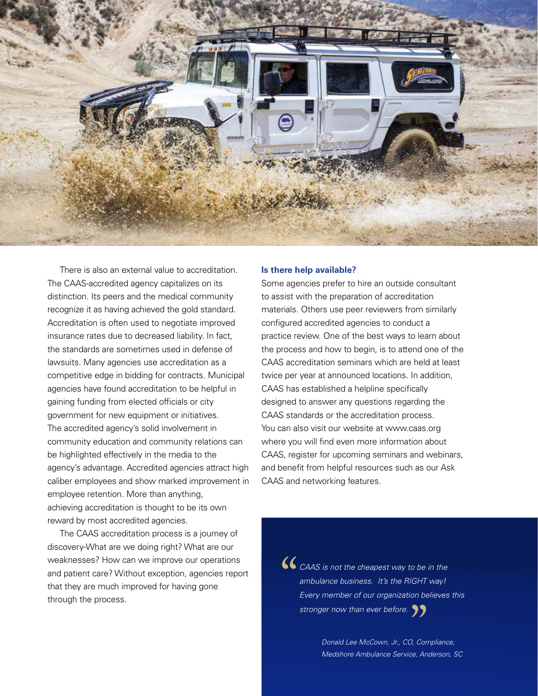

There is also an external value to accreditation. The CAAS-accredited agency capitalizes on its distinction. Its peers and the medical community recognize it as having achieved the gold standard. Accreditation is often used to negotiate improved insurance rates due to decreased liability. In fact, the standards are sometimes used in defense of lawsuits. Many agencies use accreditation as a competitive edge in bidding for contracts. Municipal agencies have found accreditation to be helpful in gaining funding from elected officials or city government for new equipment or initiatives. The accredited agency's solid involvement in community education and community relations can be highlighted effectively in the media to the agency's advantage. Accredited agencies attract high caliber employees and show marked improvement in employee retention. More than anything, achieving accreditation is thought to be its own reward by most accredited agencies.

The CAAS accreditation process is a journey of discovery-What are we doing right? What are our weaknesses? How can we improve our operations and patient care? Without exception, agencies report that they are much improved for having gone through the process.

#### **Is there help available?**

Some agencies prefer to hire an outside consultant to assist with the preparation of accreditation materials. Others use peer reviewers from similarly configured accredited agencies to conduct a practice review. One of the best ways to learn about the process and how to begin, is to attend one of the CAAS accreditation seminars which are held at least twice per year at announced locations. In addition, CAAS has established a helpline specifically designed to answer any questions regarding the CAAS standards or the accreditation process. You can also visit our website at www.caas.org where you will find even more information about CAAS, register for upcoming seminars and webinars, and benefit from helpful resources such as our Ask CAAS and networking features.

> **CAAS** is not the cheapest way to be in the<br>ambulance business. It's the RIGHT way!<br>Every member of our organization believes<br>stronger now than ever before *ambulance business. It's the RIGHT way! Every member of our organization believes this stronger now than ever before.*

*Donald Lee McCown, Jr., CO, Compliance,*  "<br>"), Cor<br>ce, An *Medshore Ambulance Service, Anderson, SC*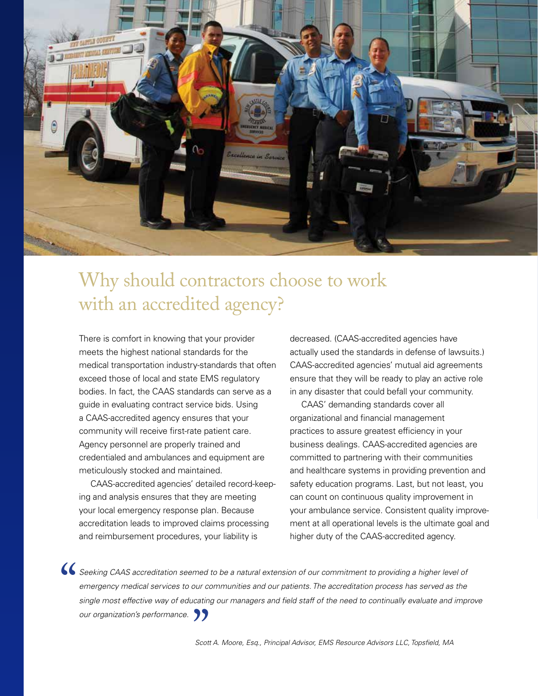

## Why should contractors choose to work with an accredited agency?

There is comfort in knowing that your provider meets the highest national standards for the medical transportation industry-standards that often exceed those of local and state EMS regulatory bodies. In fact, the CAAS standards can serve as a guide in evaluating contract service bids. Using a CAAS-accredited agency ensures that your community will receive first-rate patient care. Agency personnel are properly trained and credentialed and ambulances and equipment are meticulously stocked and maintained.

CAAS-accredited agencies' detailed record-keeping and analysis ensures that they are meeting your local emergency response plan. Because accreditation leads to improved claims processing and reimbursement procedures, your liability is

decreased. (CAAS-accredited agencies have actually used the standards in defense of lawsuits.) CAAS-accredited agencies' mutual aid agreements ensure that they will be ready to play an active role in any disaster that could befall your community.

CAAS' demanding standards cover all organizational and financial management practices to assure greatest efficiency in your business dealings. CAAS-accredited agencies are committed to partnering with their communities and healthcare systems in providing prevention and safety education programs. Last, but not least, you can count on continuous quality improvement in your ambulance service. Consistent quality improvement at all operational levels is the ultimate goal and higher duty of the CAAS-accredited agency.

Seeking CAAS accreditation seemed to be a natural extension of our commitment to providing a higher level of emergency medical services to our communities and our patients. The accreditation process has served as the singl *emergency medical services to our communities and our patients. The accreditation process has served as the single most effective way of educating our managers and field staff of the need to continually evaluate and improve our organization's performance.*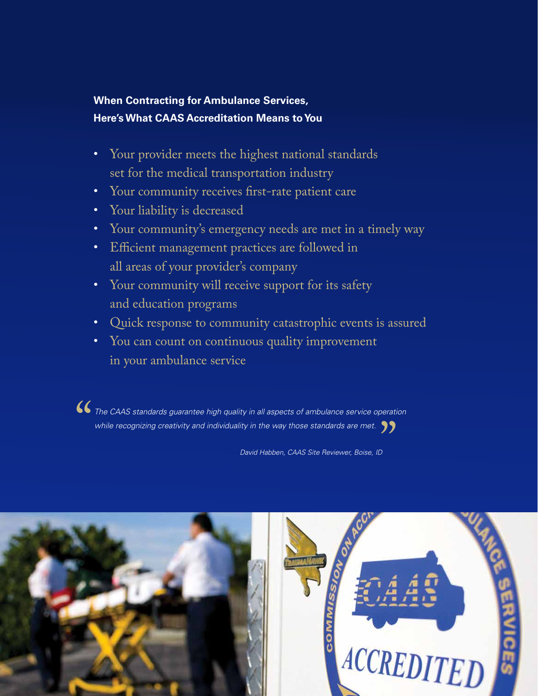### **When Contracting for Ambulance Services, Here's What CAAS Accreditation Means to You**

- Your provider meets the highest national standards set for the medical transportation industry
- Your community receives first-rate patient care
- Your liability is decreased
- Your community's emergency needs are met in a timely way
- Efficient management practices are followed in all areas of your provider's company
- Your community will receive support for its safety and education programs
- Quick response to community catastrophic events is assured
- You can count on continuous quality improvement in your ambulance service

**••** The CAAS standards guarantee high quality in all aspects of ambulance service operation<br>
while recognizing creativity and individuality in the way those standards are met.<br>
David Habben CAAS Site Reviewer Boise ID *while recognizing creativity and individuality in the way those standards are met.* "<br>"

*David Habben, CAAS Site Reviewer, Boise, ID*